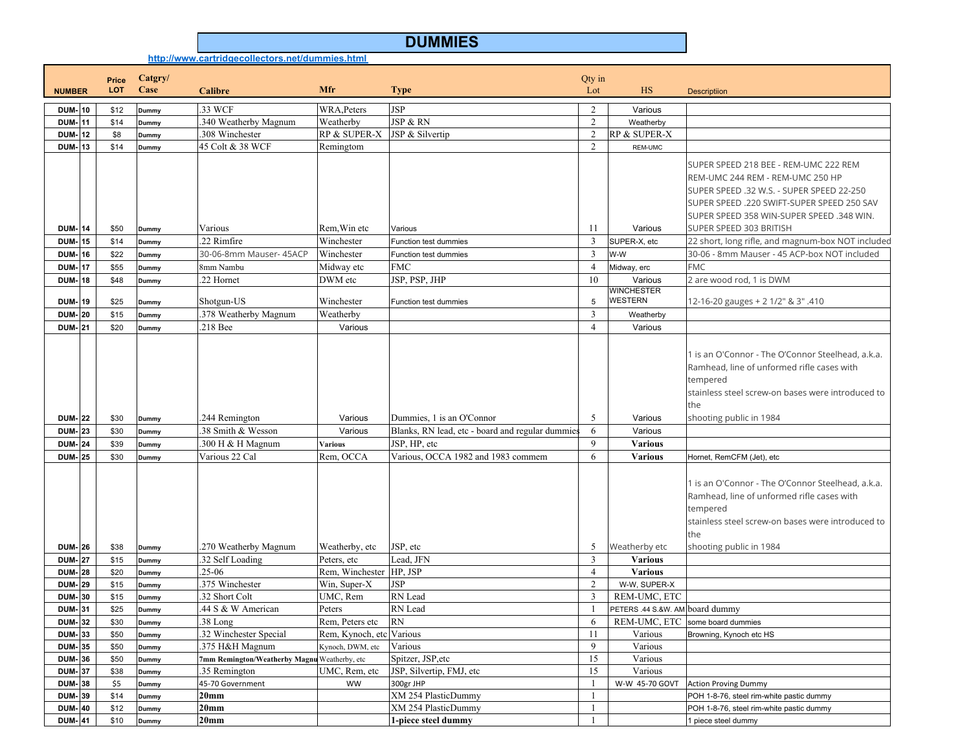## **DUMMIES**

**http://www.cartridgecollectors.net/dummies.html**

|                                |    | Price        | Catgry/        |                                              |                             |                                                    | Qty in            |                                     |                                                                                                                                                                                                                                              |
|--------------------------------|----|--------------|----------------|----------------------------------------------|-----------------------------|----------------------------------------------------|-------------------|-------------------------------------|----------------------------------------------------------------------------------------------------------------------------------------------------------------------------------------------------------------------------------------------|
| <b>NUMBER</b>                  |    | <b>LOT</b>   | Case           | <b>Calibre</b>                               | <b>Mfr</b>                  | <b>Type</b>                                        | Lot               | HS                                  | <b>Descriptiion</b>                                                                                                                                                                                                                          |
| <b>DUM-10</b>                  |    | \$12         | <b>Dummy</b>   | .33 WCF                                      | WRA, Peters                 | <b>JSP</b>                                         | 2                 | Various                             |                                                                                                                                                                                                                                              |
| <b>DUM-11</b>                  |    | \$14         | Dummy          | 340 Weatherby Magnum                         | Weatherby                   | JSP & RN                                           | 2                 | Weatherby                           |                                                                                                                                                                                                                                              |
| DUM-                           | 12 | \$8          | Dummy          | 308 Winchester                               | RP & SUPER-X                | JSP & Silvertip                                    | 2                 | RP & SUPER-X                        |                                                                                                                                                                                                                                              |
| <b>DUM-13</b>                  |    | \$14         | <b>Dummy</b>   | 45 Colt & 38 WCF                             | Remingtom                   |                                                    | 2                 | <b>REM-UMC</b>                      |                                                                                                                                                                                                                                              |
| <b>DUM-14</b>                  |    | \$50         | Dummy          | Various                                      | Rem, Win etc                | Various                                            | 11                | Various                             | SUPER SPEED 218 BEE - REM-UMC 222 REM<br>REM-UMC 244 REM - REM-UMC 250 HP<br>SUPER SPEED .32 W.S. - SUPER SPEED 22-250<br>SUPER SPEED .220 SWIFT-SUPER SPEED 250 SAV<br>SUPER SPEED 358 WIN-SUPER SPEED .348 WIN.<br>SUPER SPEED 303 BRITISH |
| DUM-                           | 15 | \$14         | Dummy          | $.22$ Rimfire                                | Winchester                  | Function test dummies                              | $\overline{3}$    | SUPER-X, etc                        | 22 short, long rifle, and magnum-box NOT included                                                                                                                                                                                            |
| DUM-                           | 16 | \$22         | Dummy          | 30-06-8mm Mauser- 45ACP                      | Winchester                  | Function test dummies                              | 3                 | W-W                                 | 30-06 - 8mm Mauser - 45 ACP-box NOT included                                                                                                                                                                                                 |
| DUM-                           | 17 | \$55         | Dummy          | 8mm Nambu                                    | Midway etc                  | <b>FMC</b>                                         | $\overline{4}$    | Midway, erc                         | <b>FMC</b>                                                                                                                                                                                                                                   |
| DUM-                           | 18 | \$48         | Dummy          | 22 Hornet                                    | DWM etc                     | JSP, PSP, JHP                                      | 10                | Various                             | 2 are wood rod, 1 is DWM                                                                                                                                                                                                                     |
| <b>DUM-19</b>                  |    | \$25         | <b>Dummy</b>   | Shotgun-US                                   | Winchester                  | Function test dummies                              | 5                 | <b>WINCHESTER</b><br><b>WESTERN</b> | 12-16-20 gauges + 2 1/2" & 3" .410                                                                                                                                                                                                           |
| DUM-                           | 20 | \$15         | Dummy          | .378 Weatherby Magnum                        | Weatherby                   |                                                    | 3                 | Weatherby                           |                                                                                                                                                                                                                                              |
| <b>DUM-21</b>                  |    | \$20         | Dummy          | .218 Bee                                     | Various                     |                                                    | $\overline{4}$    | Various                             |                                                                                                                                                                                                                                              |
| <b>DUM-22</b>                  |    | \$30         | Dummy          | .244 Remington<br>38 Smith & Wesson          | Various<br>Various          | Dummies, 1 is an O'Connor                          | 5                 | Various<br>Various                  | 1 is an O'Connor - The O'Connor Steelhead, a.k.a.<br>Ramhead, line of unformed rifle cases with<br>tempered<br>stainless steel screw-on bases were introduced to<br>the<br>shooting public in 1984                                           |
| <b>DUM-23</b>                  |    | \$30         | Dummy          |                                              |                             | Blanks, RN lead, etc - board and regular dummie    | 6                 |                                     |                                                                                                                                                                                                                                              |
| <b>DUM-24</b><br><b>DUM-25</b> |    | \$39<br>\$30 | Dummy          | 300 H & H Magnum<br>Various 22 Cal           | <b>Various</b><br>Rem, OCCA | JSP, HP, etc<br>Various, OCCA 1982 and 1983 commem | $\mathbf{Q}$<br>6 | <b>Various</b><br><b>Various</b>    | Hornet, RemCFM (Jet), etc                                                                                                                                                                                                                    |
| <b>DUM-126</b>                 |    | \$38         | Dummy<br>Dummy | .270 Weatherby Magnum                        | Weatherby, etc              | JSP, etc                                           | 5                 | Weatherby etc                       | 1 is an O'Connor - The O'Connor Steelhead, a.k.a.<br>Ramhead, line of unformed rifle cases with<br>tempered<br>stainless steel screw-on bases were introduced to<br>the<br>shooting public in 1984                                           |
| <b>DUM-27</b>                  |    | \$15         | Dummy          | .32 Self Loading                             | Peters, etc                 | Lead, JFN                                          | 3                 | <b>Various</b>                      |                                                                                                                                                                                                                                              |
| <b>DUM-28</b>                  |    | \$20         | Dummy          | $.25 - 06$                                   | Rem, Winchester             | HP, JSP                                            | $\overline{4}$    | <b>Various</b>                      |                                                                                                                                                                                                                                              |
| <b>DUM-29</b>                  |    | \$15         | <b>Dummy</b>   | 375 Winchester                               | Win, Super-X                | <b>JSP</b>                                         | 2                 | W-W, SUPER-X                        |                                                                                                                                                                                                                                              |
| <b>DUM-30</b>                  |    | \$15         | Dummy          | 32 Short Colt                                | UMC, Rem                    | RN Lead                                            | 3                 | REM-UMC, ETC                        |                                                                                                                                                                                                                                              |
| <b>DUM-31</b>                  |    | \$25         | Dummy          | 44 S & W American                            | Peters                      | RN Lead                                            | $\overline{1}$    | PETERS .44 S.&W. AM board dummy     |                                                                                                                                                                                                                                              |
| <b>DUM-32</b>                  |    | \$30         | Dummy          | .38 Long                                     | Rem, Peters etc             | <b>RN</b>                                          | 6                 |                                     | REM-UMC, ETC some board dummies                                                                                                                                                                                                              |
| <b>DUM-33</b>                  |    | \$50         | Dummy          | 32 Winchester Special                        | Rem, Kynoch, etc Various    |                                                    | 11                | Various                             | Browning, Kynoch etc HS                                                                                                                                                                                                                      |
| <b>DUM-35</b>                  |    | \$50         | Dummy          | 375 H&H Magnum                               | Kynoch, DWM, etc            | Various                                            | 9                 | Various                             |                                                                                                                                                                                                                                              |
| <b>DUM-36</b>                  |    | \$50         | Dummy          | 7mm Remington/Weatherby Magnu Weatherby, etc |                             | Spitzer, JSP, etc                                  | 15                | Various                             |                                                                                                                                                                                                                                              |
| <b>DUM-37</b>                  |    | \$38         | <b>Dummy</b>   | 35 Remington                                 | UMC, Rem, etc               | JSP, Silvertip, FMJ, etc                           | 15                | Various                             |                                                                                                                                                                                                                                              |
| <b>DUM-38</b>                  |    | \$5          | Dummy          | 45-70 Government                             | <b>WW</b>                   | 300gr JHP                                          | -1                | W-W 45-70 GOVT                      | <b>Action Proving Dummy</b>                                                                                                                                                                                                                  |
| <b>DUM-39</b>                  |    | \$14         | <b>Dummy</b>   | 20mm                                         |                             | XM 254 PlasticDummy                                | $\mathbf{1}$      |                                     | POH 1-8-76, steel rim-white pastic dummy                                                                                                                                                                                                     |
| <b>DUM-40</b>                  |    | \$12         | Dummy          | 20 <sub>mm</sub>                             |                             | XM 254 PlasticDummy                                | -1                |                                     | POH 1-8-76, steel rim-white pastic dummy                                                                                                                                                                                                     |
| <b>DUM-41</b>                  |    | \$10         | Dummy          | 20 <sub>mm</sub>                             |                             | 1-piece steel dummy                                | $\mathbf{1}$      |                                     | I piece steel dummy                                                                                                                                                                                                                          |